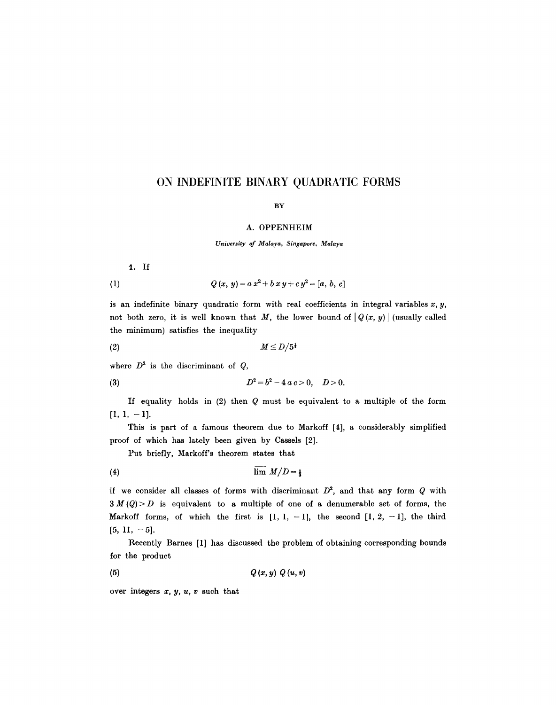## ON INDEFINITE BINARY QUADRATIC FORMS

## BY

## **A. OPPENHEIM**

*University of Malaya, Singapore, Malaya* 

1. If

(1) 
$$
Q(x, y) = a x^2 + b x y + c y^2 = [a, b, c]
$$

is an indefinite binary quadratic form with real coefficients in integral variables  $x, y$ , not both zero, it is well known that M, the lower bound of  $|Q(x, y)|$  (usually called the minimum) satisfies the inequality

(2) M \_< D//5 ~

where  $D^2$  is the discriminant of  $Q$ ,

(3) 
$$
D^2 = b^2 - 4 a c > 0, \quad D > 0.
$$

If equality holds in (2) then Q must be equivalent to a multiple of the form  $[1, 1, -1]$ .

This is part of a famous theorem due to Markoff [4], a considerably simplified proof of which has lately been given by Cassels [2].

Put briefly, Markoff's theorem states that

$$
(4) \hspace{3.1em} \lim \hspace{3.5em} M/D = \frac{1}{3}
$$

if we consider all classes of forms with discriminant  $D^2$ , and that any form Q with  $3 M(Q) > D$  is equivalent to a multiple of one of a denumerable set of forms, the Markoff forms, of which the first is  $[1, 1, -1]$ , the second  $[1, 2, -1]$ , the third  $[5, 11, -5]$ .

Recently Barnes [1] has discussed the problem of obtaining corresponding bounds for the product

$$
(5) \hspace{3.1em} Q\left(x, y\right) \hspace{0.05em} Q\left(u, v\right)
$$

over integers x, *y, u, v* such that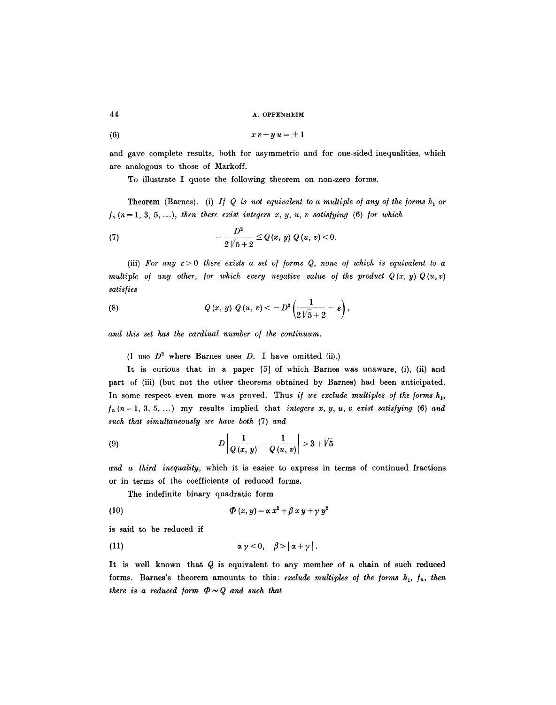44 A. OPPENHEIM

$$
(6) \hspace{3.1em} x \, v - y \, u = \pm \, 1
$$

and gave complete results, both for asymmetric and for one-sided inequalities, which are analogous to those of Markoff.

To illustrate I quote the following theorem on non-zero forms.

Theorem (Barnes). (i) *If Q is not equivalent to a multiple of any of the forms*  $h_1$  or  $f_n$  ( $n=1, 3, 5, \ldots$ ), then there exist integers x, y, u, v satisfying (6) for which

(7) 
$$
-\frac{D^2}{2\sqrt{5}+2} \le Q(x, y) Q(u, v) < 0.
$$

(iii) For any  $\varepsilon > 0$  there exists a set of forms Q, none of which is equivalent to a *multiple of any other, for which every negative value of the product*  $Q(x, y)Q(u, v)$ *satis/ies* 

(8) 
$$
Q(x, y) Q(u, v) < -D^2 \left( \frac{1}{2\sqrt{5} + 2} - \varepsilon \right),
$$

*and this set has the cardinal number o/ the continuum.* 

(I use  $D^2$  where Barnes uses D. I have omitted (ii).)

It is curious that in a paper  $[5]$  of which Barnes was unaware,  $(i)$ ,  $(ii)$  and part of (iii) (but not the other theorems obtained by Barnes) had been anticipated. In some respect even more was proved. Thus *if we exclude multiples of the forms*  $h_1$ ,  $f_n (n = 1, 3, 5, ...)$  my results implied that *integers x, y, u, v exist satisfying* (6) *and such that simultaneously we have both* (7) *and* 

(9) 
$$
D\left|\frac{1}{Q(x, y)} - \frac{1}{Q(u, v)}\right| > 3 + \sqrt{5}
$$

*and a third inequality,* which it is easier to express in terms of coutinued fractions or in terms of the coefficients of reduced forms.

The indefinite binary quadratic form

(10) 
$$
\boldsymbol{\Phi}(x, y) = \alpha x^2 + \beta x y + \gamma y^2
$$

is said to be reduced if

$$
\alpha \gamma < 0, \quad \beta > |\alpha + \gamma|.
$$

It is well known that Q is equivalent to any member of a chain of such reduced forms. Barnes's theorem amounts to this: *exclude multiples of the forms*  $h_1$ ,  $f_n$ , then *there is a reduced form*  $\Phi \sim Q$  *and such that*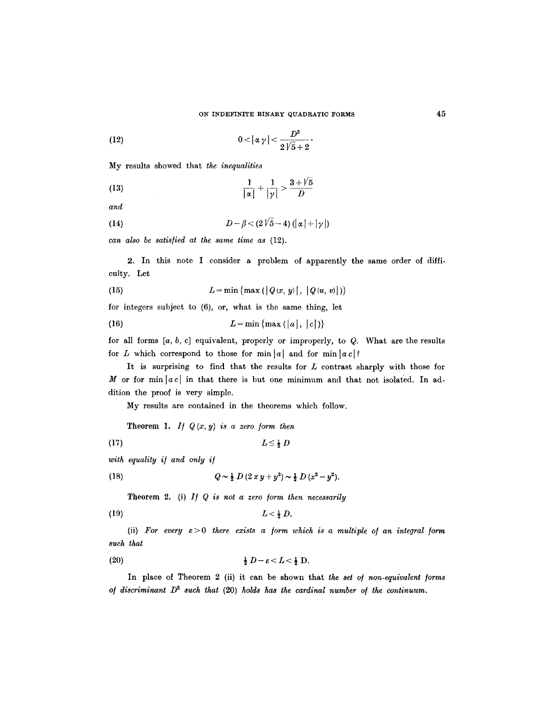(12) 
$$
0<|\alpha\,\gamma|<\frac{D^2}{2\sqrt{5}+2}
$$

My results showed that *the inequalities* 

(13) 
$$
\frac{1}{|\alpha|} + \frac{1}{|\gamma|} > \frac{3 + 1}{D}
$$

*and* 

$$
(14) \t\t\t D-\beta < (2\sqrt{5}-4)\left(|\alpha|+|\gamma|\right)
$$

*can also be satis/ied at the same time as* (12).

2. In this note I consider a problem of apparently the same order of difficulty. Let

(15) 
$$
L = \min \{ \max ( |Q(x, y)|, |Q(u, v)| ) \}
$$

for integers subject to (6), or, what is the same thing, let

$$
(16) \t L = \min \{ \max (|a|, |c|) \}
$$

for all forms  $[a, b, c]$  equivalent, properly or improperly, to  $Q$ . What are the results for L which correspond to those for  $\min |a|$  and for  $\min |a|$ ?

It is surprising to find that the results for  $L$  contrast sharply with those for M or for min $|ac|$  in that there is but one minimum and that not isolated. In addition the proof is very simple.

My results are contained in the theorems which follow.

Theorem 1. *If*  $Q(x, y)$  is a zero form then

$$
(17) \t\t\t L \leq \frac{1}{2} D
$$

*with equality i/ and only i/* 

(18) 
$$
Q \sim \frac{1}{2} D (2xy + y^2) \sim \frac{1}{2} D (x^2 - y^2).
$$

Theorem 2. (i) *I/ Q is not a zero /orm then necessarily* 

$$
(19) \t\t L < \tfrac{1}{2} D.
$$

(ii) For every  $\varepsilon > 0$  there exists a form which is a multiple of an integral form *such that* 

$$
\frac{1}{2} D - \varepsilon < L < \frac{1}{2} D.
$$

In place of Theorem 2 (ii) it can be shown that the set of non-equivalent forms *of discriminant*  $D^2$  *such that* (20) *holds has the cardinal number of the continuum.*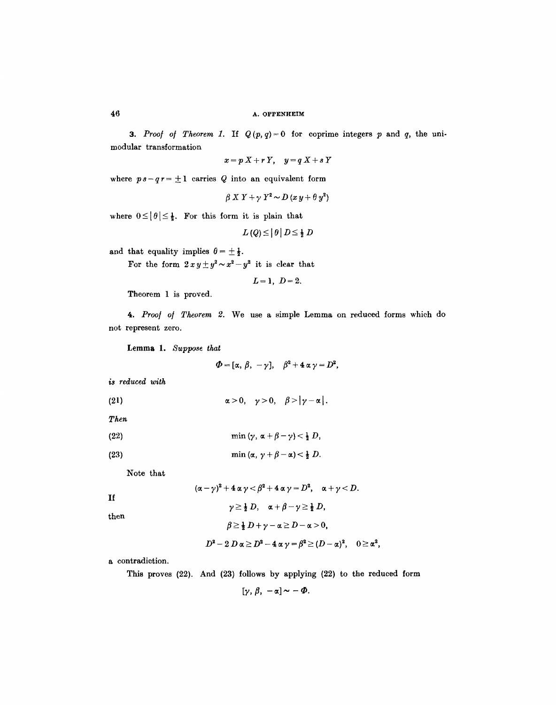3. Proof of Theorem 1. If  $Q(p, q) = 0$  for coprime integers p and q, the unimodular transformation

$$
x=p\ X+r\ Y,\quad y=q\ X+s\ Y
$$

where  $ps-qr=\pm 1$  carries Q into an equivalent form

$$
\beta X Y + \gamma Y^2 \sim D (x y + \theta y^2)
$$

where  $0 \leq |\theta| \leq \frac{1}{2}$ . For this form it is plain that

$$
L(Q) \leq |\theta| D \leq \frac{1}{2} D
$$

and that equality implies  $\theta = \pm \frac{1}{2}$ .

For the form  $2xy \pm y^2 \sim x^2 - y^2$  it is clear that

$$
L=1, D=2.
$$

Theorem 1 is proved.

*4. Proo/ o/ Theorem 2.* We use a simple Lemma on reduced forms which do not represent zero.

**Lemma** I. *Suppose that* 

 $\Phi=[\alpha, \beta, -\gamma], \quad \beta^2+4\alpha \gamma=D^2,$ 

*is reduced with* 

 $(21)$  $\alpha > 0, \quad \gamma > 0, \quad \beta > |\gamma - \alpha|.$ 

*Then* 

$$
(22) \quad \min\left(\gamma,\,\alpha+\beta-\gamma\right)<\tfrac{1}{2}\,D,
$$

(23) 
$$
\min(\alpha, \gamma + \beta - \alpha) < \frac{1}{2} D.
$$

Note that

If  
\n
$$
(\alpha - \gamma)^2 + 4 \alpha \gamma < \beta^2 + 4 \alpha \gamma = D^2, \quad \alpha + \gamma < D.
$$
\n
$$
\gamma \ge \frac{1}{2} D, \quad \alpha + \beta - \gamma \ge \frac{1}{2} D,
$$
\nthen  
\n
$$
\beta \ge \frac{1}{2} D + \gamma - \alpha \ge D - \alpha > 0,
$$
\n
$$
D^2 - 2 D \alpha \ge D^2 - 4 \alpha \gamma = \beta^2 \ge (D - \alpha)^2, \quad 0 \ge \alpha^2,
$$

a contradiction.

This proves (22), And (23) follows by applying (22) to the reduced form

[ $\gamma, \beta, -\alpha$ ] ~ -  $\Phi$ .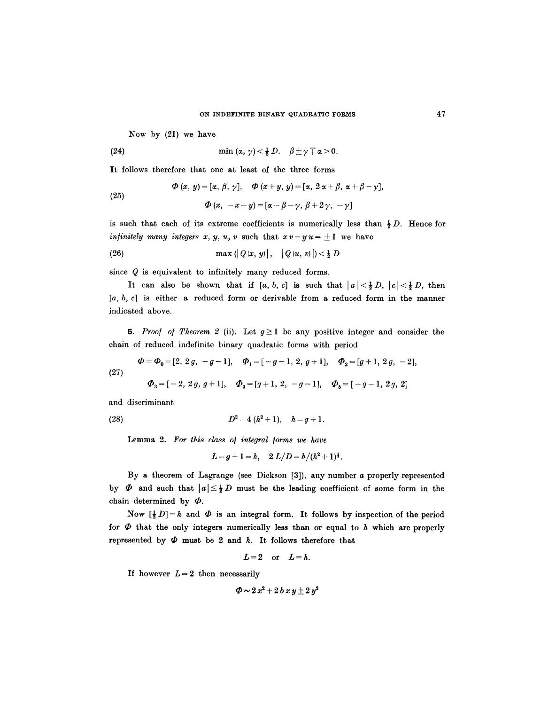Now by (21) we have

(24) 
$$
\min(\alpha, \gamma) < \frac{1}{2} D. \quad \beta \pm \gamma + \alpha > 0.
$$

It follows therefore that one at least of the three forms

(25)  
\n
$$
\Phi(x, y) = [\alpha, \beta, \gamma], \quad \Phi(x + y, y) = [\alpha, 2\alpha + \beta, \alpha + \beta - \gamma],
$$
\n
$$
\Phi(x, -x + y) = [\alpha - \beta - \gamma, \beta + 2\gamma, -\gamma]
$$

is such that each of its extreme coefficients is numerically less than  $\frac{1}{2}D$ . Hence for *infinitely many integers x, y, u, v* such that  $x v - y u = \pm 1$  we have

(26) 
$$
\max (|Q(x, y)|, |Q(u, v)|) < \frac{1}{2} D
$$

since Q is equivalent to infinitely many reduced forms.

It can also be shown that if  $[a, b, c]$  is such that  $|a| < \frac{1}{2} D$ ,  $|c| < \frac{1}{2} D$ , then  $[a, b, c]$  is either a reduced form or derivable from a reduced form in the manner indicated above.

5. Proof of Theorem 2 (ii). Let  $g \ge 1$  be any positive integer and consider the chain of reduced indefinite binary quadratic forms with period

$$
\Phi = \Phi_0 = [2, 2g, -g-1], \quad \Phi_1 = [-g-1, 2, g+1], \quad \Phi_2 = [g+1, 2g, -2],
$$
\n(27)

$$
\Phi_3 = [-2, 2g, g+1], \quad \Phi_4 = [g+1, 2, -g-1], \quad \Phi_5 = [-g-1, 2g, 2]
$$

and discriminant

(28) 
$$
D^2 = 4(h^2 + 1), \quad h = g + 1.
$$

Lemma 2. For this class of integral forms we have

 $L=q+1=h$ ,  $2L/D=h/(h^2+1)^{\frac{1}{2}}$ .

By a theorem of Lagrange (see Dickson [3]), any number a properly represented by  $\Phi$  and such that  $|a| \leq \frac{1}{2} D$  must be the leading coefficient of some form in the chain determined by  $\Phi$ .

Now  $\left[\frac{1}{2} D\right] = h$  and  $\Phi$  is an integral form. It follows by inspection of the period for  $\Phi$  that the only integers numerically less than or equal to  $h$  which are properly represented by  $\Phi$  must be 2 and h. It follows therefore that

$$
L=2 \quad \text{or} \quad L=h.
$$

If however  $L=2$  then necessarily

$$
\Phi \sim 2\,x^2 + 2\,b\,x\,y \pm 2\,y^2
$$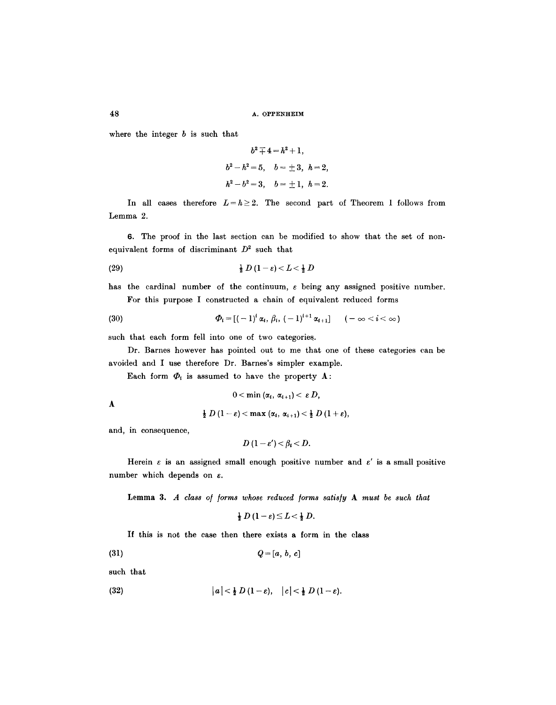48 A. OPPENHEIM

where the integer  $b$  is such that

$$
b^2 + 4 = h^2 + 1,
$$
  
\n
$$
b^2 - h^2 = 5, \quad b = \pm 3, \quad h = 2,
$$
  
\n
$$
h^2 - b^2 = 3, \quad b = \pm 1, \quad h = 2.
$$

In all cases therefore  $L=h\geq 2$ . The second part of Theorem 1 follows from Lemma 2.

6. The proof in the last section can be modified to show that the set of nonequivalent forms of discriminant  $D^2$  such that

$$
\frac{1}{2} D (1 - \varepsilon) < L < \frac{1}{2} D
$$

has the cardinal number of the continuum,  $\varepsilon$  being any assigned positive number. For this purpose I constructed a chain of equivalent reduced forms

(30) 
$$
\Phi_i = [(-1)^i \alpha_i, \beta_i, (-1)^{i+1} \alpha_{i+1}] \qquad (-\infty < i < \infty)
$$

such that each form fell into one of two categories.

Dr. Barnes however has pointed out to me that one of these categories can be avoided and I use therefore Dr. Barnes's simpler example.

Each form  $\Phi_i$  is assumed to have the property A:

$$
0<\min\left(\alpha_{i},\,\alpha_{i+1}\right)<\,\varepsilon\,D,
$$

A

$$
\frac{1}{2} D (1-\varepsilon) < \max (\alpha_i, \alpha_{i+1}) < \frac{1}{2} D (1+\varepsilon),
$$

and, in consequence,

$$
D(1-\varepsilon') < \beta_i < D.
$$

Herein  $\varepsilon$  is an assigned small enough positive number and  $\varepsilon'$  is a small positive number which depends on  $\varepsilon$ .

Lemma 3. A class of forms whose reduced forms satisfy A must be such that

$$
\frac{1}{2} D (1-\varepsilon) \leq L < \frac{1}{2} D.
$$

If this is not the case then there exists a form in the class

$$
(31) \tQ = [a, b, c]
$$

such that

$$
(32) \qquad \qquad |a|<\tfrac{1}{2}\,D\,(1-\varepsilon),\quad |c|<\tfrac{1}{2}\,D\,(1-\varepsilon).
$$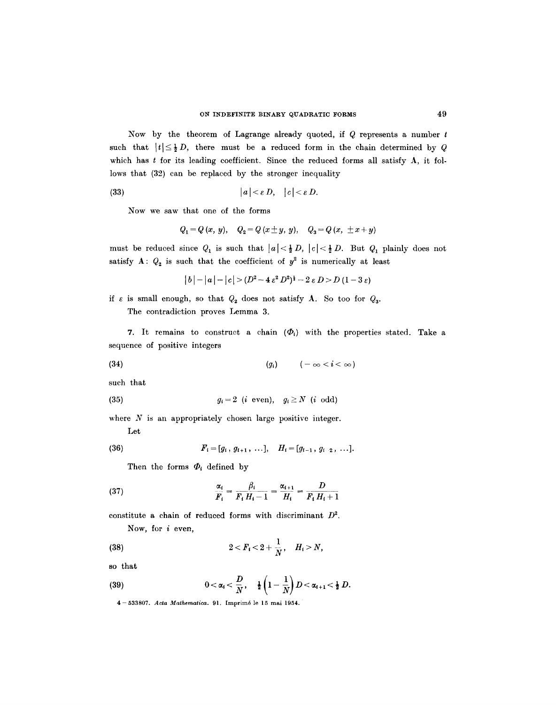Now by the theorem of Lagrange already quoted, if  $Q$  represents a number  $t$ such that  $|t| \leq \frac{1}{2} D$ , there must be a reduced form in the chain determined by Q which has  $t$  for its leading coefficient. Since the reduced forms all satisfy  $A$ , it follows that (32) can be replaced by the stronger inequality

$$
(33) \t\t |a| < \varepsilon D, \t |c| < \varepsilon D.
$$

Now we saw that one of the forms

$$
Q_1 = Q(x, y), Q_2 = Q(x \pm y, y), Q_3 = Q(x, \pm x + y)
$$

must be reduced since  $Q_1$  is such that  $|a| < \frac{1}{2} D$ ,  $|c| < \frac{1}{2} D$ . But  $Q_1$  plainly does not satisfy A:  $Q_2$  is such that the coefficient of  $y^2$  is numerically at least

$$
|b| - |a| - |c| > (D^2 - 4\epsilon^2 D^2)^{\frac{1}{2}} - 2\epsilon D > D\ (1 - 3\epsilon)
$$

if  $\varepsilon$  is small enough, so that  $Q_2$  does not satisfy A. So too for  $Q_3$ .

The contradiction proves Lemma 3.

7. It remains to construct a chain  $(\Phi_i)$  with the properties stated. Take a sequence of positive integers

$$
(34) \qquad \qquad (g_i) \qquad \qquad (-\infty < i < \infty)
$$

such that

$$
(35) \t\t\t g_i = 2 \t (i \t even), \t g_i \ge N \t (i \t odd)
$$

where  $N$  is an appropriately chosen large positive integer.

Let

(36) 
$$
F_i = [g_i, g_{i+1}, \ldots], \quad H_i = [g_{i-1}, g_{i-2}, \ldots].
$$

Then the forms  $\Phi_i$  defined by

(37) 
$$
\frac{\alpha_i}{F_i} = \frac{\beta_i}{F_i H_i - 1} = \frac{\alpha_{i+1}}{H_i} = \frac{D}{F_i H_i + 1}
$$

constitute a chain of reduced forms with discriminant  $D^2$ . Now, for  $i$  even,

(38) 
$$
2 < F_i < 2 + \frac{1}{N}, \quad H_i > N,
$$

so that

(39) 
$$
0 < \alpha_i < \frac{D}{N}, \quad \frac{1}{2} \left( 1 - \frac{1}{N} \right) D < \alpha_{i+1} < \frac{1}{2} D.
$$

4-533807. *Acta Mathematica.* 91. Imprim6 le 15 mai 1954.